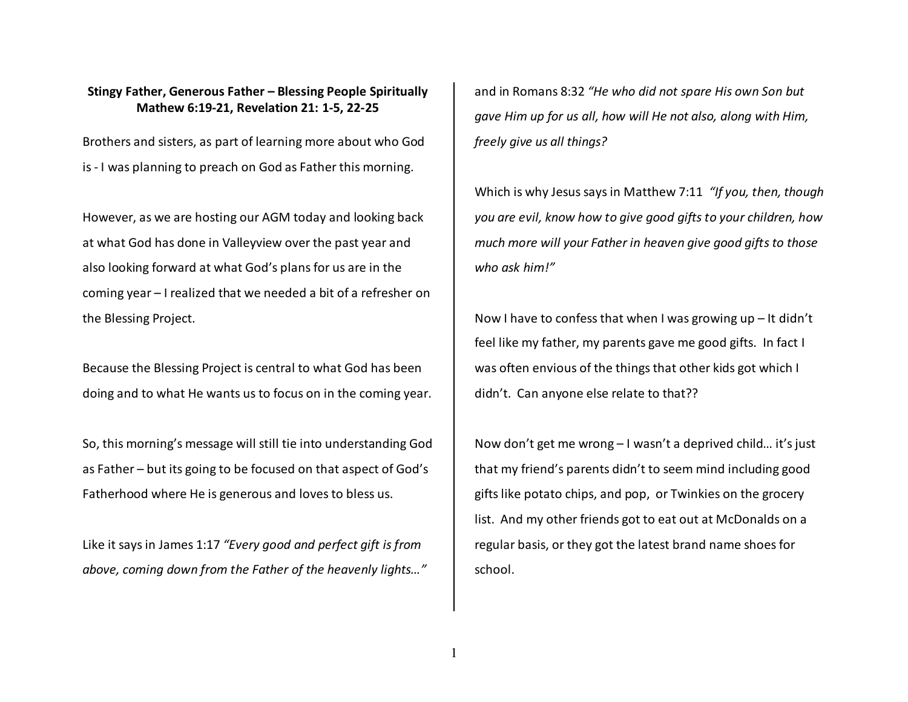## **Stingy Father, Generous Father – Blessing People Spiritually Mathew 6:19-21, Revelation 21: 1-5, 22-25**

Brothers and sisters, as part of learning more about who God is - I was planning to preach on God as Father this morning.

However, as we are hosting our AGM today and looking back at what God has done in Valleyview over the past year and also looking forward at what God's plans for us are in the coming year – I realized that we needed a bit of a refresher on the Blessing Project.

Because the Blessing Project is central to what God has been doing and to what He wants us to focus on in the coming year.

So, this morning's message will still tie into understanding God as Father – but its going to be focused on that aspect of God's Fatherhood where He is generous and loves to bless us.

Like it says in James 1:17 *"Every good and perfect gift is from above, coming down from the Father of the heavenly lights…"*

and in Romans 8:32 *"He who did not spare His own Son but gave Him up for us all, how will He not also, along with Him, freely give us all things?*

Which is why Jesus says in Matthew 7:11 *"If you, then, though you are evil, know how to give good gifts to your children, how much more will your Father in heaven give good gifts to those who ask him!"* 

Now I have to confess that when I was growing up – It didn't feel like my father, my parents gave me good gifts. In fact I was often envious of the things that other kids got which I didn't. Can anyone else relate to that??

Now don't get me wrong – I wasn't a deprived child… it's just that my friend's parents didn't to seem mind including good gifts like potato chips, and pop, or Twinkies on the grocery list. And my other friends got to eat out at McDonalds on a regular basis, or they got the latest brand name shoes for school.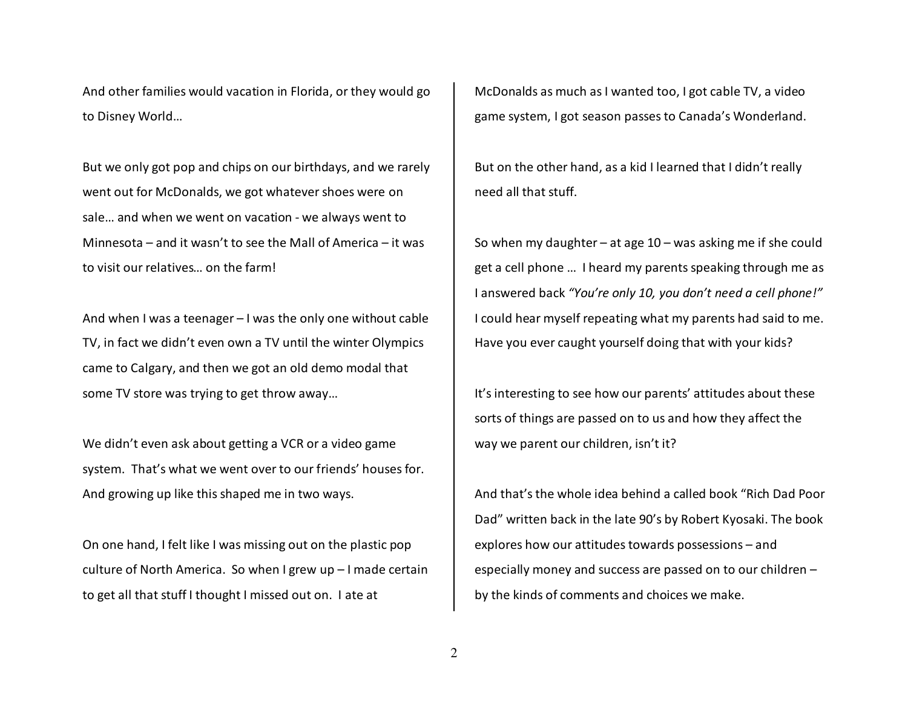And other families would vacation in Florida, or they would go to Disney World…

But we only got pop and chips on our birthdays, and we rarely went out for McDonalds, we got whatever shoes were on sale… and when we went on vacation - we always went to Minnesota – and it wasn't to see the Mall of America – it was to visit our relatives… on the farm!

And when I was a teenager – I was the only one without cable TV, in fact we didn't even own a TV until the winter Olympics came to Calgary, and then we got an old demo modal that some TV store was trying to get throw away…

We didn't even ask about getting a VCR or a video game system. That's what we went over to our friends' houses for. And growing up like this shaped me in two ways.

On one hand, I felt like I was missing out on the plastic pop culture of North America. So when I grew up – I made certain to get all that stuff I thought I missed out on. I ate at

McDonalds as much as I wanted too, I got cable TV, a video game system, I got season passes to Canada's Wonderland.

But on the other hand, as a kid I learned that I didn't really need all that stuff.

So when my daughter – at age  $10 -$  was asking me if she could get a cell phone … I heard my parents speaking through me as I answered back *"You're only 10, you don't need a cell phone!"*I could hear myself repeating what my parents had said to me. Have you ever caught yourself doing that with your kids?

It's interesting to see how our parents' attitudes about these sorts of things are passed on to us and how they affect the way we parent our children, isn't it?

And that's the whole idea behind a called book "Rich Dad Poor Dad" written back in the late 90's by Robert Kyosaki. The book explores how our attitudes towards possessions – and especially money and success are passed on to our children – by the kinds of comments and choices we make.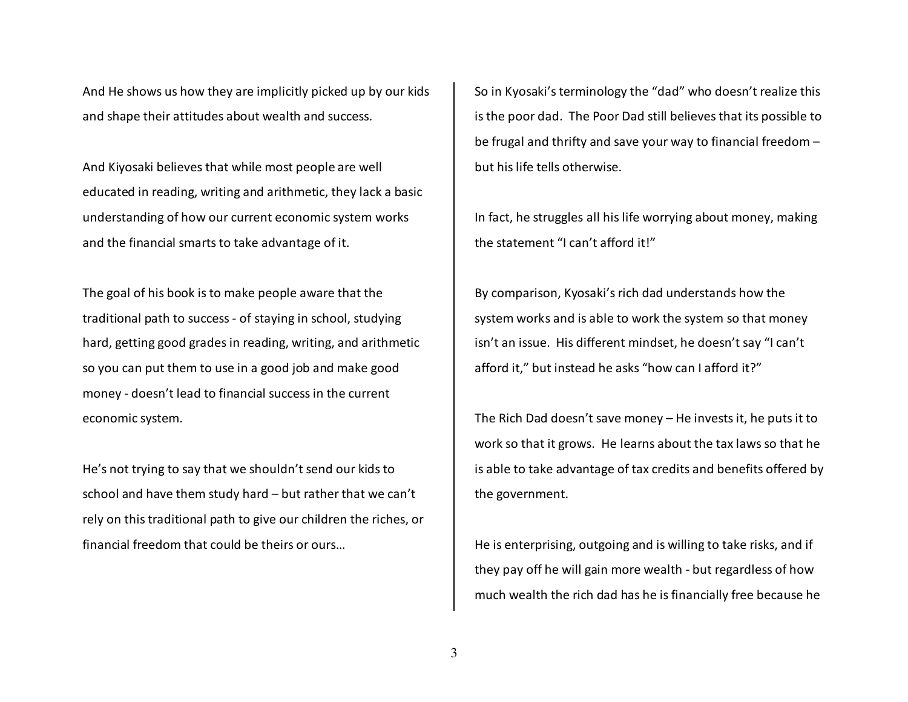And He shows us how they are implicitly picked up by our kids and shape their attitudes about wealth and success.

And Kiyosaki believes that while most people are well educated in reading, writing and arithmetic, they lack a basic understanding of how our current economic system works and the financial smarts to take advantage of it.

The goal of his book is to make people aware that the traditional path to success - of staying in school, studying hard, getting good grades in reading, writing, and arithmetic so you can put them to use in a good job and make good money - doesn't lead to financial success in the current economic system.

He's not trying to say that we shouldn't send our kids to school and have them study hard – but rather that we can't rely on this traditional path to give our children the riches, or financial freedom that could be theirs or ours…

So in Kyosaki's terminology the "dad" who doesn't realize this is the poor dad. The Poor Dad still believes that its possible to be frugal and thrifty and save your way to financial freedom – but his life tells otherwise.

In fact, he struggles all his life worrying about money, making the statement "I can't afford it!"

By comparison, Kyosaki's rich dad understands how thesystem works and is able to work the system so that money isn't an issue. His different mindset, he doesn't say "I can't afford it," but instead he asks "how can I afford it?"

The Rich Dad doesn't save money – He invests it, he puts it to work so that it grows. He learns about the tax laws so that he is able to take advantage of tax credits and benefits offered by the government.

He is enterprising, outgoing and is willing to take risks, and if they pay off he will gain more wealth - but regardless of how much wealth the rich dad has he is financially free because he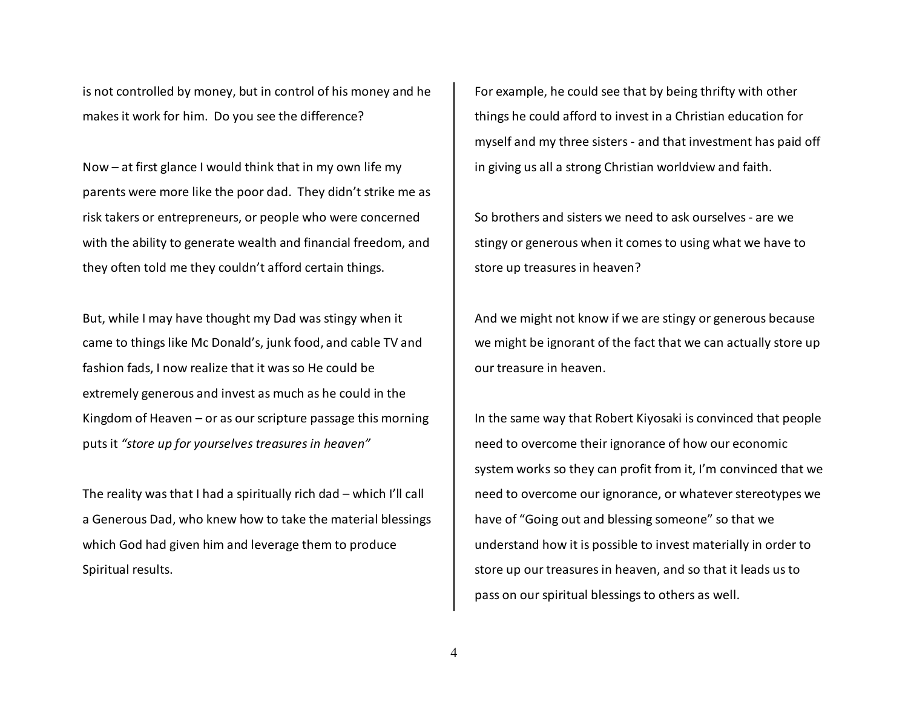is not controlled by money, but in control of his money and he makes it work for him. Do you see the difference?

Now – at first glance I would think that in my own life my parents were more like the poor dad. They didn't strike me as risk takers or entrepreneurs, or people who were concerned with the ability to generate wealth and financial freedom, and they often told me they couldn't afford certain things.

But, while I may have thought my Dad was stingy when it came to things like Mc Donald's, junk food, and cable TV and fashion fads, I now realize that it was so He could be extremely generous and invest as much as he could in the Kingdom of Heaven – or as our scripture passage this morning puts it *"store up for yourselves treasures in heaven"*

The reality was that I had a spiritually rich dad – which I'll call a Generous Dad, who knew how to take the material blessings which God had given him and leverage them to produce Spiritual results.

For example, he could see that by being thrifty with other things he could afford to invest in a Christian education for myself and my three sisters - and that investment has paid off in giving us all a strong Christian worldview and faith.

So brothers and sisters we need to ask ourselves - are we stingy or generous when it comes to using what we have to store up treasures in heaven?

And we might not know if we are stingy or generous because we might be ignorant of the fact that we can actually store up our treasure in heaven.

In the same way that Robert Kiyosaki is convinced that people need to overcome their ignorance of how our economic system works so they can profit from it, I'm convinced that we need to overcome our ignorance, or whatever stereotypes we have of "Going out and blessing someone" so that weunderstand how it is possible to invest materially in order to store up our treasures in heaven, and so that it leads us to pass on our spiritual blessings to others as well.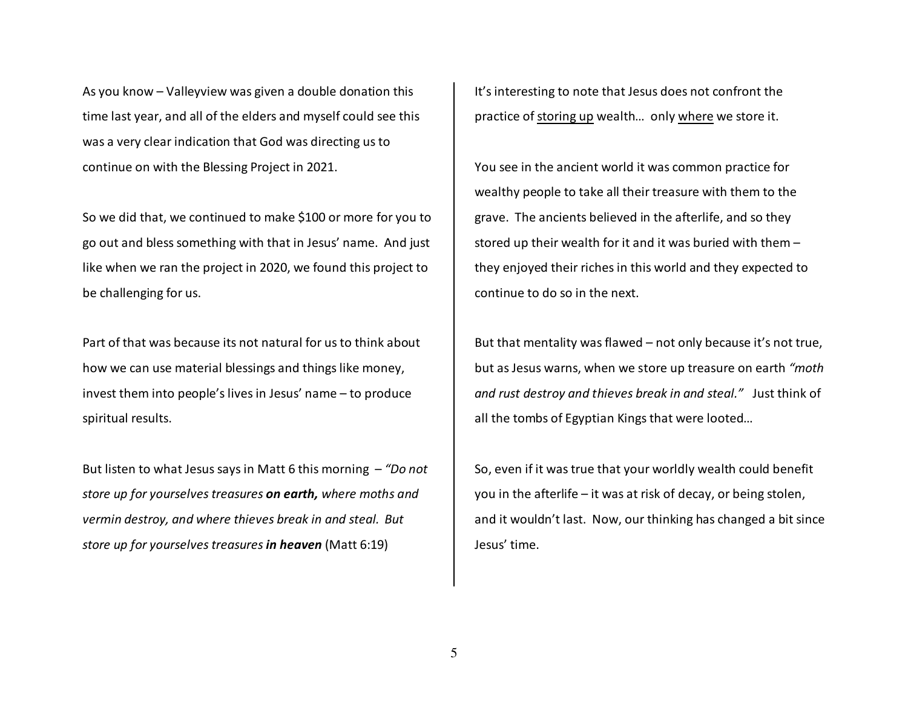As you know – Valleyview was given a double donation this time last year, and all of the elders and myself could see this was a very clear indication that God was directing us to continue on with the Blessing Project in 2021.

So we did that, we continued to make \$100 or more for you to go out and bless something with that in Jesus' name. And just like when we ran the project in 2020, we found this project to be challenging for us.

Part of that was because its not natural for us to think about how we can use material blessings and things like money, invest them into people's lives in Jesus' name – to produce spiritual results.

But listen to what Jesus says in Matt 6 this morning – *"Do not store up for yourselves treasures on earth, where moths and vermin destroy, and where thieves break in and steal. But store up for yourselves treasures in heaven* (Matt 6:19)

It's interesting to note that Jesus does not confront the practice of storing up wealth… only where we store it.

You see in the ancient world it was common practice for wealthy people to take all their treasure with them to the grave. The ancients believed in the afterlife, and so they stored up their wealth for it and it was buried with them – they enjoyed their riches in this world and they expected to continue to do so in the next.

But that mentality was flawed – not only because it's not true, but as Jesus warns, when we store up treasure on earth *"moth and rust destroy and thieves break in and steal."* Just think of all the tombs of Egyptian Kings that were looted…

So, even if it was true that your worldly wealth could benefit you in the afterlife – it was at risk of decay, or being stolen, and it wouldn't last. Now, our thinking has changed a bit since Jesus' time.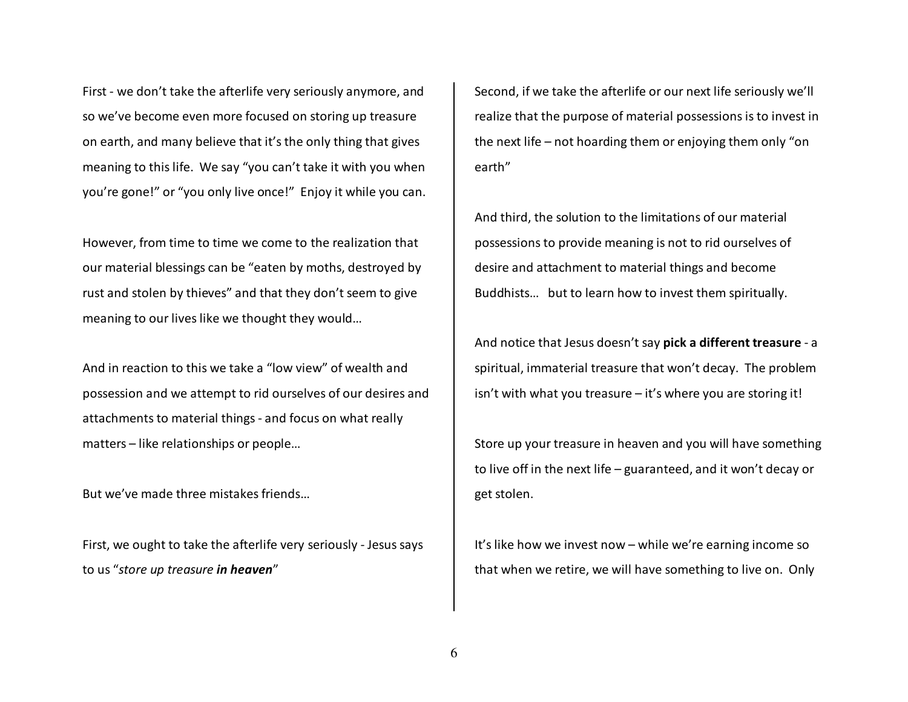First - we don't take the afterlife very seriously anymore, and so we've become even more focused on storing up treasure on earth, and many believe that it's the only thing that gives meaning to this life. We say "you can't take it with you when you're gone!" or "you only live once!" Enjoy it while you can.

However, from time to time we come to the realization that our material blessings can be "eaten by moths, destroyed by rust and stolen by thieves" and that they don't seem to give meaning to our lives like we thought they would…

And in reaction to this we take a "low view" of wealth and possession and we attempt to rid ourselves of our desires and attachments to material things - and focus on what really matters – like relationships or people…

But we've made three mistakes friends…

First, we ought to take the afterlife very seriously - Jesus says to us "*store up treasure in heaven*"

Second, if we take the afterlife or our next life seriously we'll realize that the purpose of material possessions is to invest in the next life – not hoarding them or enjoying them only "on earth"

And third, the solution to the limitations of our material possessions to provide meaning is not to rid ourselves of desire and attachment to material things and becomeBuddhists… but to learn how to invest them spiritually.

And notice that Jesus doesn't say **pick a different treasure** - a spiritual, immaterial treasure that won't decay. The problem isn't with what you treasure – it's where you are storing it!

Store up your treasure in heaven and you will have something to live off in the next life – guaranteed, and it won't decay or get stolen.

It's like how we invest now – while we're earning income so that when we retire, we will have something to live on. Only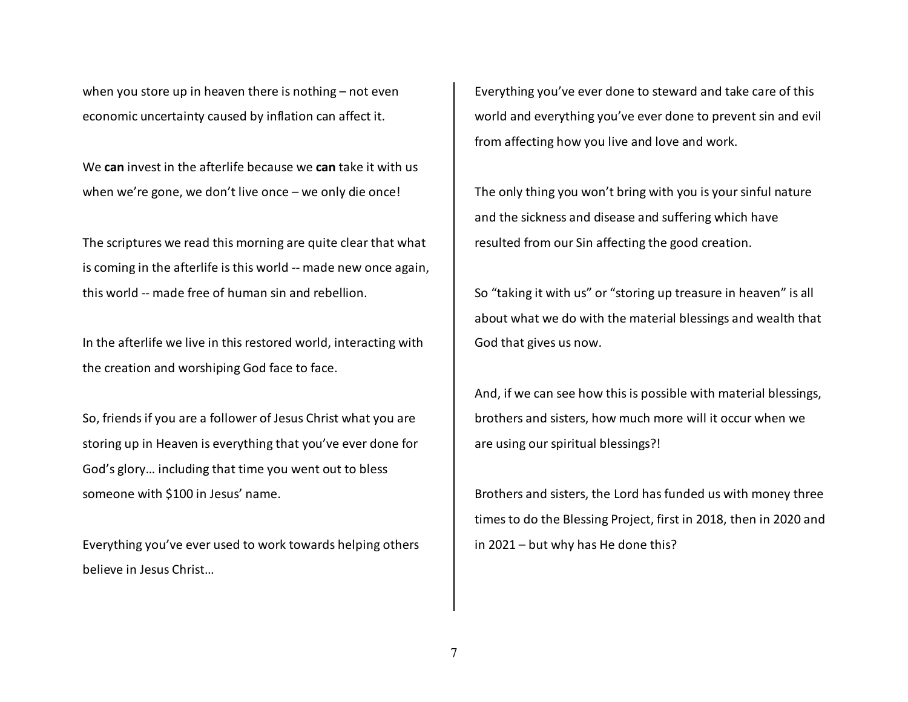when you store up in heaven there is nothing – not even economic uncertainty caused by inflation can affect it.

We **can** invest in the afterlife because we **can** take it with us when we're gone, we don't live once – we only die once!

The scriptures we read this morning are quite clear that what is coming in the afterlife is this world -- made new once again, this world -- made free of human sin and rebellion.

In the afterlife we live in this restored world, interacting with the creation and worshiping God face to face.

So, friends if you are a follower of Jesus Christ what you are storing up in Heaven is everything that you've ever done for God's glory… including that time you went out to bless someone with \$100 in Jesus' name.

Everything you've ever used to work towards helping others believe in Jesus Christ…

Everything you've ever done to steward and take care of this world and everything you've ever done to prevent sin and evil from affecting how you live and love and work.

The only thing you won't bring with you is your sinful nature and the sickness and disease and suffering which have resulted from our Sin affecting the good creation.

So "taking it with us" or "storing up treasure in heaven" is all about what we do with the material blessings and wealth that God that gives us now.

And, if we can see how this is possible with material blessings, brothers and sisters, how much more will it occur when we are using our spiritual blessings?!

Brothers and sisters, the Lord has funded us with money three times to do the Blessing Project, first in 2018, then in 2020 and in 2021 – but why has He done this?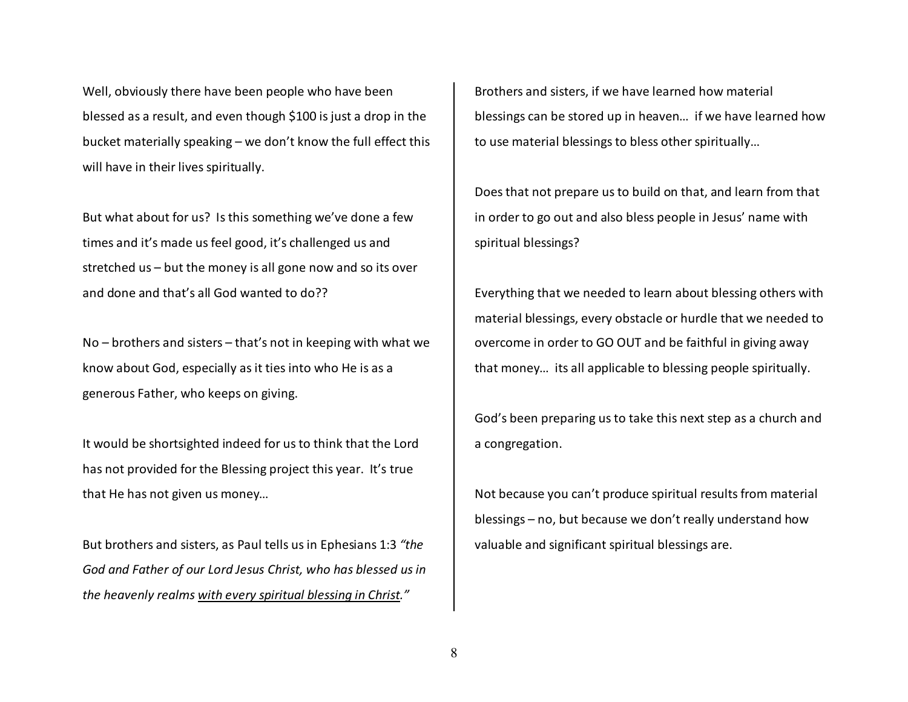Well, obviously there have been people who have beenblessed as a result, and even though \$100 is just a drop in the bucket materially speaking – we don't know the full effect this will have in their lives spiritually.

But what about for us? Is this something we've done a few times and it's made us feel good, it's challenged us and stretched us – but the money is all gone now and so its over and done and that's all God wanted to do??

No – brothers and sisters – that's not in keeping with what we know about God, especially as it ties into who He is as a generous Father, who keeps on giving.

It would be shortsighted indeed for us to think that the Lord has not provided for the Blessing project this year. It's true that He has not given us money…

But brothers and sisters, as Paul tells us in Ephesians 1:3 *"the God and Father of our Lord Jesus Christ, who has blessed us in the heavenly realms with every spiritual blessing in Christ."*

Brothers and sisters, if we have learned how material blessings can be stored up in heaven… if we have learned how to use material blessings to bless other spiritually…

Does that not prepare us to build on that, and learn from that in order to go out and also bless people in Jesus' name with spiritual blessings?

Everything that we needed to learn about blessing others with material blessings, every obstacle or hurdle that we needed to overcome in order to GO OUT and be faithful in giving away that money… its all applicable to blessing people spiritually.

God's been preparing us to take this next step as a church and a congregation.

Not because you can't produce spiritual results from material blessings – no, but because we don't really understand how valuable and significant spiritual blessings are.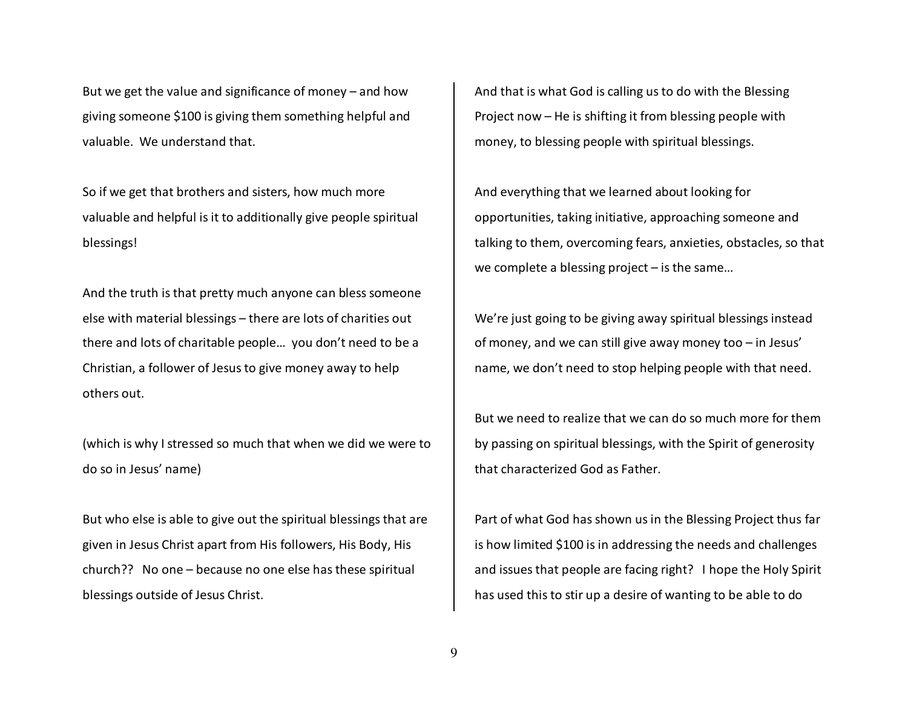But we get the value and significance of money – and how giving someone \$100 is giving them something helpful and valuable. We understand that.

So if we get that brothers and sisters, how much more valuable and helpful is it to additionally give people spiritual blessings!

And the truth is that pretty much anyone can bless someone else with material blessings – there are lots of charities out there and lots of charitable people… you don't need to be a Christian, a follower of Jesus to give money away to help others out.

(which is why I stressed so much that when we did we were to do so in Jesus' name)

But who else is able to give out the spiritual blessings that are given in Jesus Christ apart from His followers, His Body, His church?? No one – because no one else has these spiritual blessings outside of Jesus Christ.

And that is what God is calling us to do with the Blessing Project now – He is shifting it from blessing people with money, to blessing people with spiritual blessings.

And everything that we learned about looking for opportunities, taking initiative, approaching someone and talking to them, overcoming fears, anxieties, obstacles, so that we complete a blessing project – is the same…

We're just going to be giving away spiritual blessings instead of money, and we can still give away money too – in Jesus' name, we don't need to stop helping people with that need.

But we need to realize that we can do so much more for them by passing on spiritual blessings, with the Spirit of generosity that characterized God as Father.

Part of what God has shown us in the Blessing Project thus far is how limited \$100 is in addressing the needs and challenges and issues that people are facing right? I hope the Holy Spirit has used this to stir up a desire of wanting to be able to do